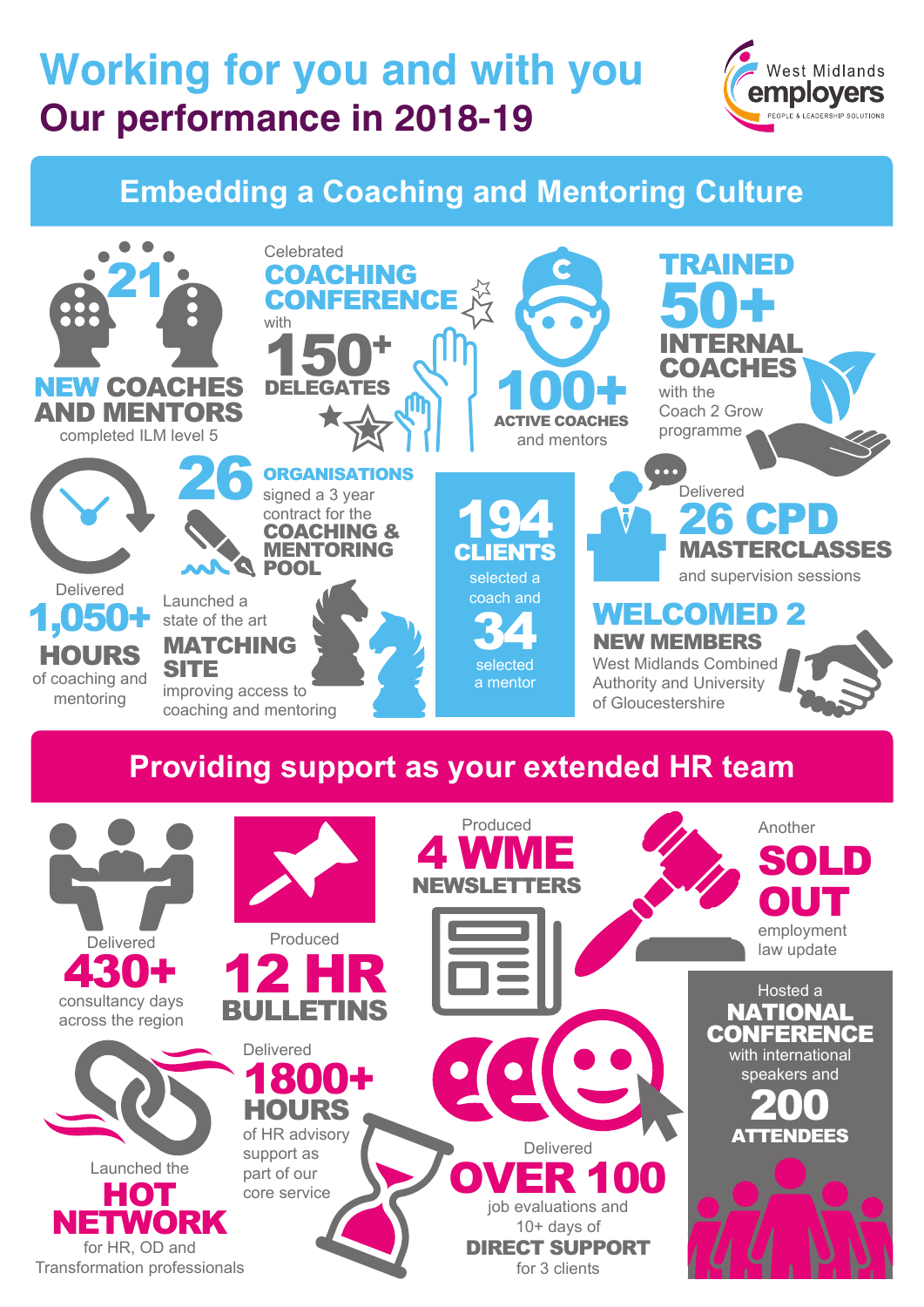## **Working for you and with you Our performance in 2018-19**



## **Embedding a Coaching and Mentoring Culture**



for HR, OD and Transformation professionals

10+ days of DIRECT SUPPORT for 3 clients